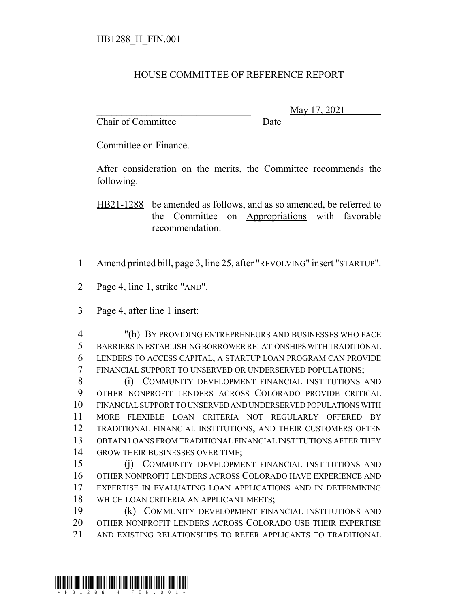## HOUSE COMMITTEE OF REFERENCE REPORT

Chair of Committee Date

\_\_\_\_\_\_\_\_\_\_\_\_\_\_\_\_\_\_\_\_\_\_\_\_\_\_\_\_\_\_\_ May 17, 2021

Committee on Finance.

After consideration on the merits, the Committee recommends the following:

HB21-1288 be amended as follows, and as so amended, be referred to the Committee on Appropriations with favorable recommendation:

- Amend printed bill, page 3, line 25, after "REVOLVING" insert "STARTUP".
- Page 4, line 1, strike "AND".
- Page 4, after line 1 insert:

 "(h) BY PROVIDING ENTREPRENEURS AND BUSINESSES WHO FACE BARRIERS IN ESTABLISHING BORROWER RELATIONSHIPS WITH TRADITIONAL LENDERS TO ACCESS CAPITAL, A STARTUP LOAN PROGRAM CAN PROVIDE FINANCIAL SUPPORT TO UNSERVED OR UNDERSERVED POPULATIONS;

8 (i) COMMUNITY DEVELOPMENT FINANCIAL INSTITUTIONS AND OTHER NONPROFIT LENDERS ACROSS COLORADO PROVIDE CRITICAL FINANCIAL SUPPORT TO UNSERVED AND UNDERSERVED POPULATIONS WITH MORE FLEXIBLE LOAN CRITERIA NOT REGULARLY OFFERED BY TRADITIONAL FINANCIAL INSTITUTIONS, AND THEIR CUSTOMERS OFTEN OBTAIN LOANS FROM TRADITIONAL FINANCIAL INSTITUTIONS AFTER THEY GROW THEIR BUSINESSES OVER TIME;

 (j) COMMUNITY DEVELOPMENT FINANCIAL INSTITUTIONS AND OTHER NONPROFIT LENDERS ACROSS COLORADO HAVE EXPERIENCE AND EXPERTISE IN EVALUATING LOAN APPLICATIONS AND IN DETERMINING WHICH LOAN CRITERIA AN APPLICANT MEETS;

 (k) COMMUNITY DEVELOPMENT FINANCIAL INSTITUTIONS AND OTHER NONPROFIT LENDERS ACROSS COLORADO USE THEIR EXPERTISE AND EXISTING RELATIONSHIPS TO REFER APPLICANTS TO TRADITIONAL